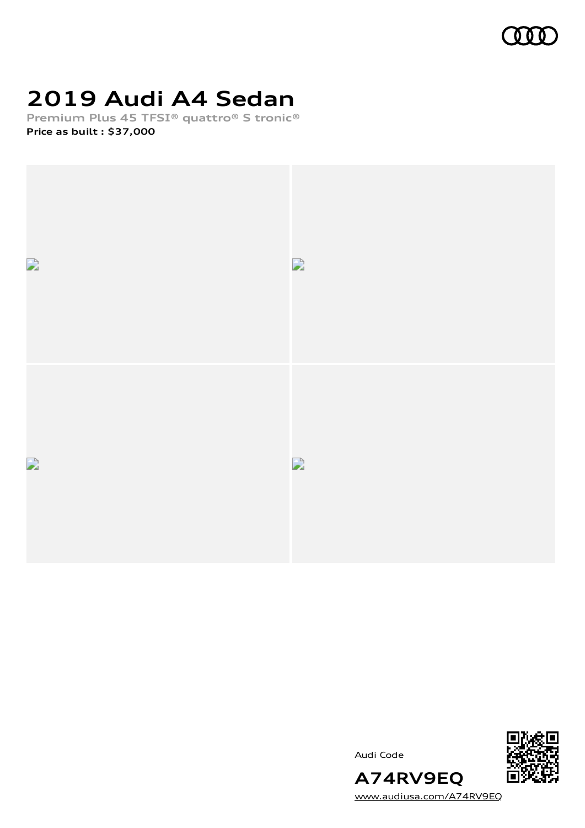

# **2019 Audi A4 Sedan**

**Premium Plus 45 TFSI® quattro® S tronic® Price as built [:](#page-8-0) \$37,000**



Audi Code



[www.audiusa.com/A74RV9EQ](https://www.audiusa.com/A74RV9EQ)

**A74RV9EQ**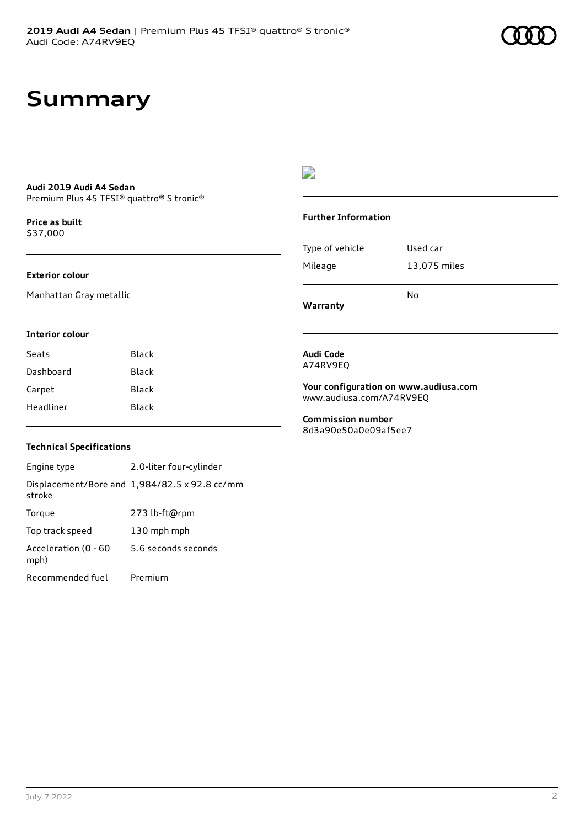### **Summary**

#### **Audi 2019 Audi A4 Sedan** Premium Plus 45 TFSI® quattro® S tronic®

**Price as buil[t](#page-8-0)** \$37,000

#### **Exterior colour**

Manhattan Gray metallic

#### D

#### **Further Information**

|                 | N٥           |
|-----------------|--------------|
| Mileage         | 13,075 miles |
| Type of vehicle | Used car     |

### **Interior colour**

| Seats     | Black |
|-----------|-------|
| Dashboard | Black |
| Carpet    | Black |
| Headliner | Black |
|           |       |

#### **Audi Code** A74RV9EQ

**Warranty**

**Your configuration on www.audiusa.com** [www.audiusa.com/A74RV9EQ](https://www.audiusa.com/A74RV9EQ)

**Commission number** 8d3a90e50a0e09af5ee7

#### **Technical Specifications**

Engine type 2.0-liter four-cylinder Displacement/Bore and 1,984/82.5 x 92.8 cc/mm stroke Torque 273 lb-ft@rpm Top track speed 130 mph mph Acceleration (0 - 60 mph) 5.6 seconds seconds Recommended fuel Premium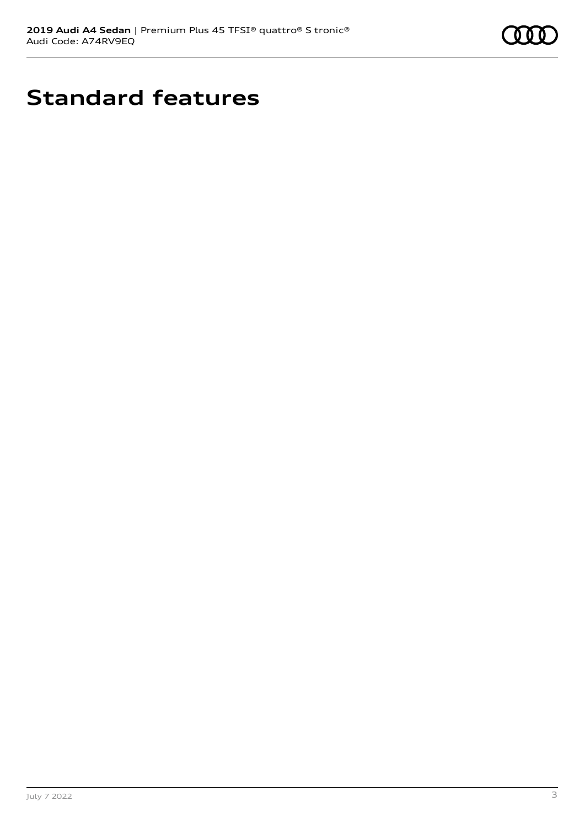

# **Standard features**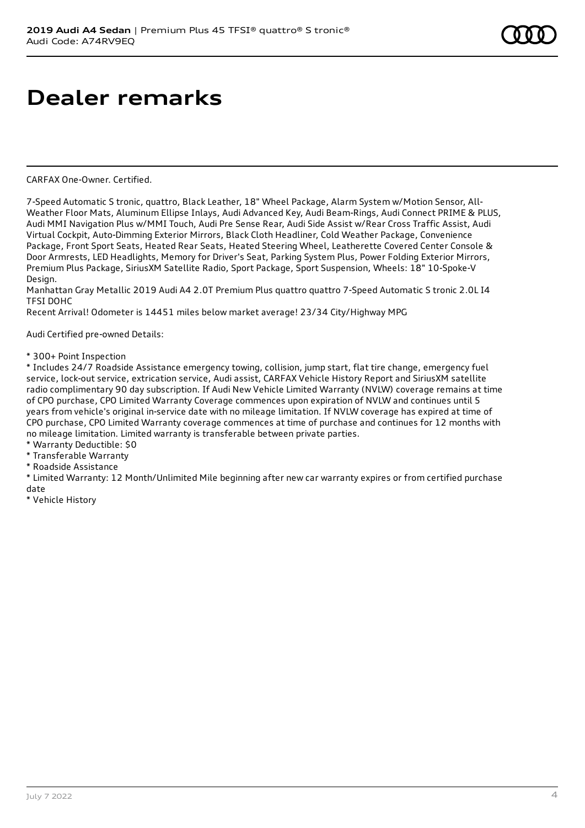## **Dealer remarks**

CARFAX One-Owner. Certified.

7-Speed Automatic S tronic, quattro, Black Leather, 18" Wheel Package, Alarm System w/Motion Sensor, All-Weather Floor Mats, Aluminum Ellipse Inlays, Audi Advanced Key, Audi Beam-Rings, Audi Connect PRIME & PLUS, Audi MMI Navigation Plus w/MMI Touch, Audi Pre Sense Rear, Audi Side Assist w/Rear Cross Traffic Assist, Audi Virtual Cockpit, Auto-Dimming Exterior Mirrors, Black Cloth Headliner, Cold Weather Package, Convenience Package, Front Sport Seats, Heated Rear Seats, Heated Steering Wheel, Leatherette Covered Center Console & Door Armrests, LED Headlights, Memory for Driver's Seat, Parking System Plus, Power Folding Exterior Mirrors, Premium Plus Package, SiriusXM Satellite Radio, Sport Package, Sport Suspension, Wheels: 18" 10-Spoke-V Design.

Manhattan Gray Metallic 2019 Audi A4 2.0T Premium Plus quattro quattro 7-Speed Automatic S tronic 2.0L I4 TFSI DOHC

Recent Arrival! Odometer is 14451 miles below market average! 23/34 City/Highway MPG

Audi Certified pre-owned Details:

\* 300+ Point Inspection

\* Includes 24/7 Roadside Assistance emergency towing, collision, jump start, flat tire change, emergency fuel service, lock-out service, extrication service, Audi assist, CARFAX Vehicle History Report and SiriusXM satellite radio complimentary 90 day subscription. If Audi New Vehicle Limited Warranty (NVLW) coverage remains at time of CPO purchase, CPO Limited Warranty Coverage commences upon expiration of NVLW and continues until 5 years from vehicle's original in-service date with no mileage limitation. If NVLW coverage has expired at time of CPO purchase, CPO Limited Warranty coverage commences at time of purchase and continues for 12 months with no mileage limitation. Limited warranty is transferable between private parties.

\* Warranty Deductible: \$0

\* Transferable Warranty

\* Roadside Assistance

\* Limited Warranty: 12 Month/Unlimited Mile beginning after new car warranty expires or from certified purchase date

\* Vehicle History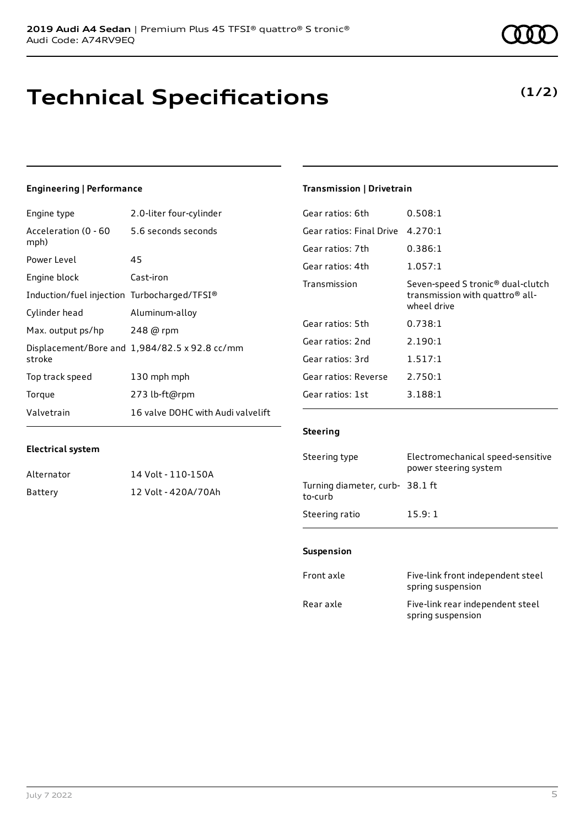### **Technical Specifications**

### **Engineering | Performance**

**Electrical system**

Engine type 2.0-liter four-cylinder

Alternator 14 Volt - 110-150A Battery 12 Volt - 420A/70Ah

| Acceleration (0 - 60<br>mph)                | 5.6 seconds seconds                           |
|---------------------------------------------|-----------------------------------------------|
| Power Level                                 | 45                                            |
| Engine block                                | Cast-iron                                     |
| Induction/fuel injection Turbocharged/TFSI® |                                               |
| Cylinder head                               | Aluminum-alloy                                |
| Max. output ps/hp                           | 248 @ rpm                                     |
| stroke                                      | Displacement/Bore and 1,984/82.5 x 92.8 cc/mm |
| Top track speed                             | 130 mph mph                                   |
| Torque                                      | 273 lb-ft@rpm                                 |
| Valvetrain                                  | 16 valve DOHC with Audi valvelift             |

#### **Transmission | Drivetrain**

| Gear ratios: 6th         | 0.508:1                                                                                                     |
|--------------------------|-------------------------------------------------------------------------------------------------------------|
| Gear ratios: Final Drive | 4.270:1                                                                                                     |
| Gear ratios: 7th         | 0.386:1                                                                                                     |
| Gear ratios: 4th         | 1.057:1                                                                                                     |
| Transmission             | Seven-speed S tronic <sup>®</sup> dual-clutch<br>transmission with quattro <sup>®</sup> all-<br>wheel drive |
| Gear ratios: 5th         | 0.738:1                                                                                                     |
| Gear ratios: 2nd         | 2.190:1                                                                                                     |
| Gear ratios: 3rd         | 1.517:1                                                                                                     |
| Gear ratios: Reverse     | 2.750:1                                                                                                     |
| Gear ratios: 1st         | 3.188:1                                                                                                     |
|                          |                                                                                                             |

#### **Steering**

| Steering type                             | Electromechanical speed-sensitive<br>power steering system |
|-------------------------------------------|------------------------------------------------------------|
| Turning diameter, curb-38.1 ft<br>to-curb |                                                            |
| Steering ratio                            | 15.9:1                                                     |

#### **Suspension**

| Front axle | Five-link front independent steel<br>spring suspension |
|------------|--------------------------------------------------------|
| Rear axle  | Five-link rear independent steel<br>spring suspension  |

**(1/2)**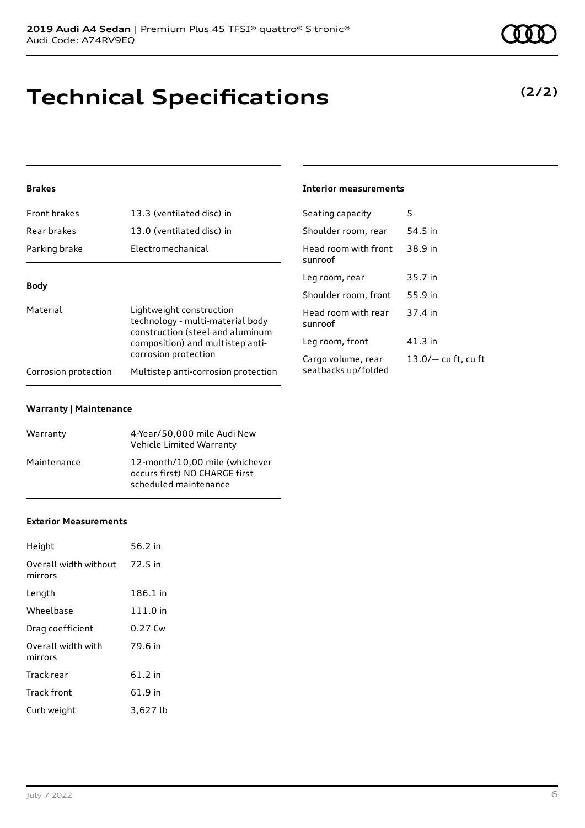# **Technical Specifications**

#### **Brakes**

| Front brakes                                                                                                                                     | 13.3 (ventilated disc) in                                   | Seating capacity                          | 5                  |
|--------------------------------------------------------------------------------------------------------------------------------------------------|-------------------------------------------------------------|-------------------------------------------|--------------------|
| Rear brakes                                                                                                                                      | 13.0 (ventilated disc) in                                   | Shoulder room, rear                       | 54.5 in            |
| Parking brake                                                                                                                                    | Electromechanical                                           | Head room with front<br>sunroof           | 38.9 in            |
|                                                                                                                                                  |                                                             | Leg room, rear                            | 35.7 in            |
| <b>Body</b>                                                                                                                                      |                                                             | Shoulder room, front                      | 55.9 in            |
| Material<br>Lightweight construction<br>technology - multi-material body<br>construction (steel and aluminum<br>composition) and multistep anti- | Head room with rear<br>sunroof                              | 37.4 in                                   |                    |
|                                                                                                                                                  |                                                             | Leg room, front                           | $41.3$ in          |
| Corrosion protection                                                                                                                             | corrosion protection<br>Multistep anti-corrosion protection | Cargo volume, rear<br>seatbacks up/folded | $13.0/-$ cu ft, cu |

#### **Warranty | Maintenance**

| Warranty    | 4-Year/50,000 mile Audi New<br>Vehicle Limited Warranty                                  |
|-------------|------------------------------------------------------------------------------------------|
| Maintenance | 12-month/10.00 mile (whichever<br>occurs first) NO CHARGE first<br>scheduled maintenance |

#### **Exterior Measurements**

| Height                           | 56.2 in   |
|----------------------------------|-----------|
| Overall width without<br>mirrors | 72.5 in   |
| Length                           | 186.1 in  |
| Wheelbase                        | 111.0 in  |
| Drag coefficient                 | $0.27$ Cw |
| Overall width with<br>mirrors    | 79.6 in   |
| Track rear                       | $61.2$ in |
| Track front                      | 61.9 in   |
| Curb weight                      | 3,627 lb  |

**(2/2)**

#### **Interior measurements**

| Seating capacity                          | 5                     |
|-------------------------------------------|-----------------------|
| Shoulder room, rear                       | 54.5 in               |
| Head room with front<br>sunroof           | 38.9 in               |
| Leg room, rear                            | 35.7 in               |
| Shoulder room, front                      | 55.9 in               |
| Head room with rear<br>sunroof            | 37.4 in               |
| Leg room, front                           | 41.3 in               |
| Cargo volume, rear<br>seatbacks up/folded | $13.0/-$ cu ft, cu ft |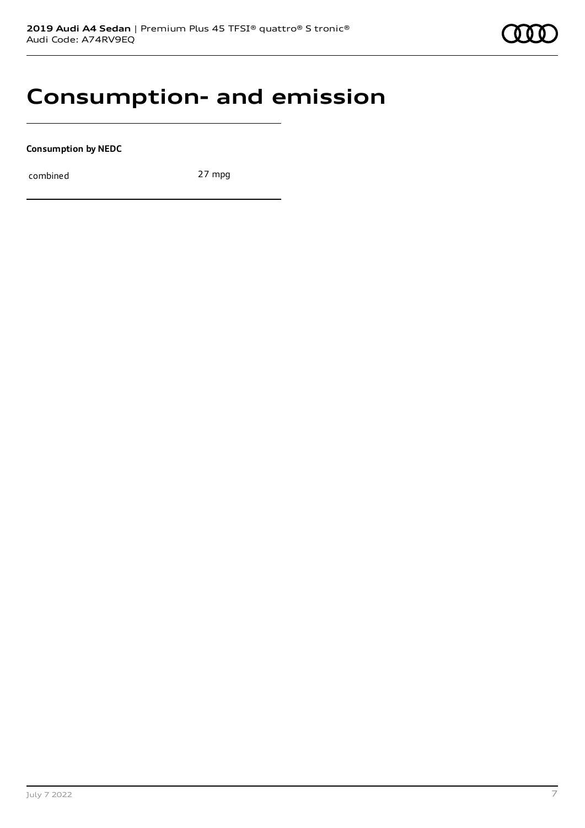### **Consumption- and emission**

**Consumption by NEDC**

combined 27 mpg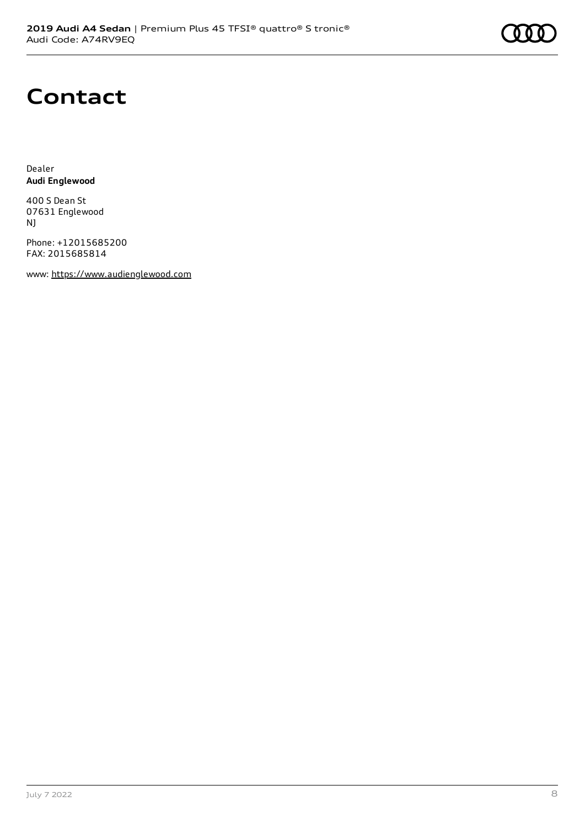# **Contact**

Dealer **Audi Englewood**

400 S Dean St 07631 Englewood NJ

Phone: +12015685200 FAX: 2015685814

www: [https://www.audienglewood.com](https://www.audienglewood.com/)